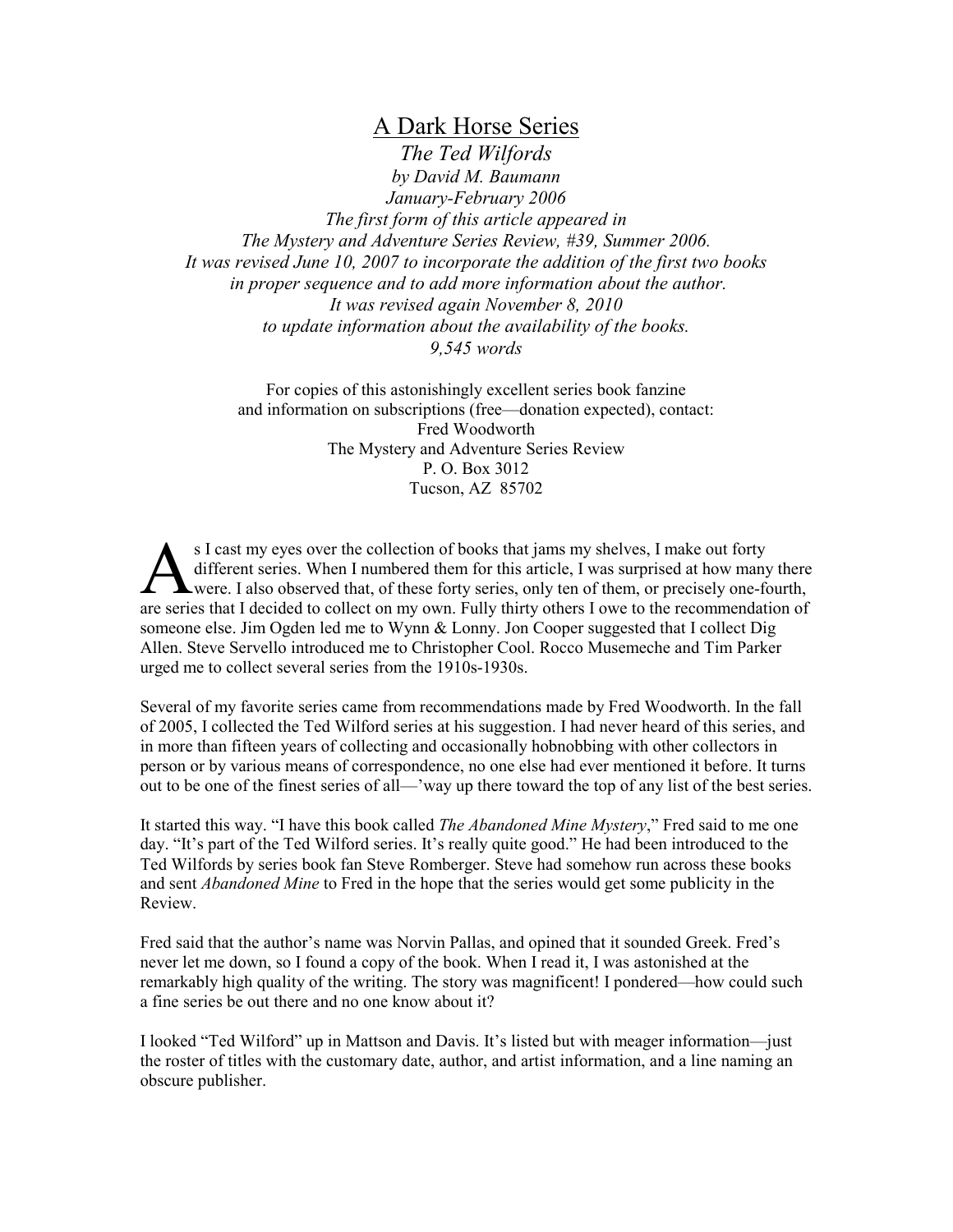A Dark Horse Series

*The Ted Wilfords by David M. Baumann January-February 2006 The first form of this article appeared in The Mystery and Adventure Series Review, #39, Summer 2006. It was revised June 10, 2007 to incorporate the addition of the first two books in proper sequence and to add more information about the author. It was revised again November 8, 2010 to update information about the availability of the books. 9,545 words* 

For copies of this astonishingly excellent series book fanzine and information on subscriptions (free—donation expected), contact: Fred Woodworth The Mystery and Adventure Series Review P. O. Box 3012 Tucson, AZ 85702

s I cast my eyes over the collection of books that jams my shelves, I make out forty different series. When I numbered them for this article, I was surprised at how many there were. I also observed that, of these forty series, only ten of them, or precisely one-fourth, S I cast my eyes over the collection of books that jams my shelves, I make out forty<br>different series. When I numbered them for this article, I was surprised at how many there<br>were. I also observed that, of these forty ser someone else. Jim Ogden led me to Wynn & Lonny. Jon Cooper suggested that I collect Dig Allen. Steve Servello introduced me to Christopher Cool. Rocco Musemeche and Tim Parker urged me to collect several series from the 1910s-1930s.

Several of my favorite series came from recommendations made by Fred Woodworth. In the fall of 2005, I collected the Ted Wilford series at his suggestion. I had never heard of this series, and in more than fifteen years of collecting and occasionally hobnobbing with other collectors in person or by various means of correspondence, no one else had ever mentioned it before. It turns out to be one of the finest series of all—'way up there toward the top of any list of the best series.

It started this way. "I have this book called *The Abandoned Mine Mystery*," Fred said to me one day. "It's part of the Ted Wilford series. It's really quite good." He had been introduced to the Ted Wilfords by series book fan Steve Romberger. Steve had somehow run across these books and sent *Abandoned Mine* to Fred in the hope that the series would get some publicity in the Review.

Fred said that the author's name was Norvin Pallas, and opined that it sounded Greek. Fred's never let me down, so I found a copy of the book. When I read it, I was astonished at the remarkably high quality of the writing. The story was magnificent! I pondered—how could such a fine series be out there and no one know about it?

I looked "Ted Wilford" up in Mattson and Davis. It's listed but with meager information—just the roster of titles with the customary date, author, and artist information, and a line naming an obscure publisher.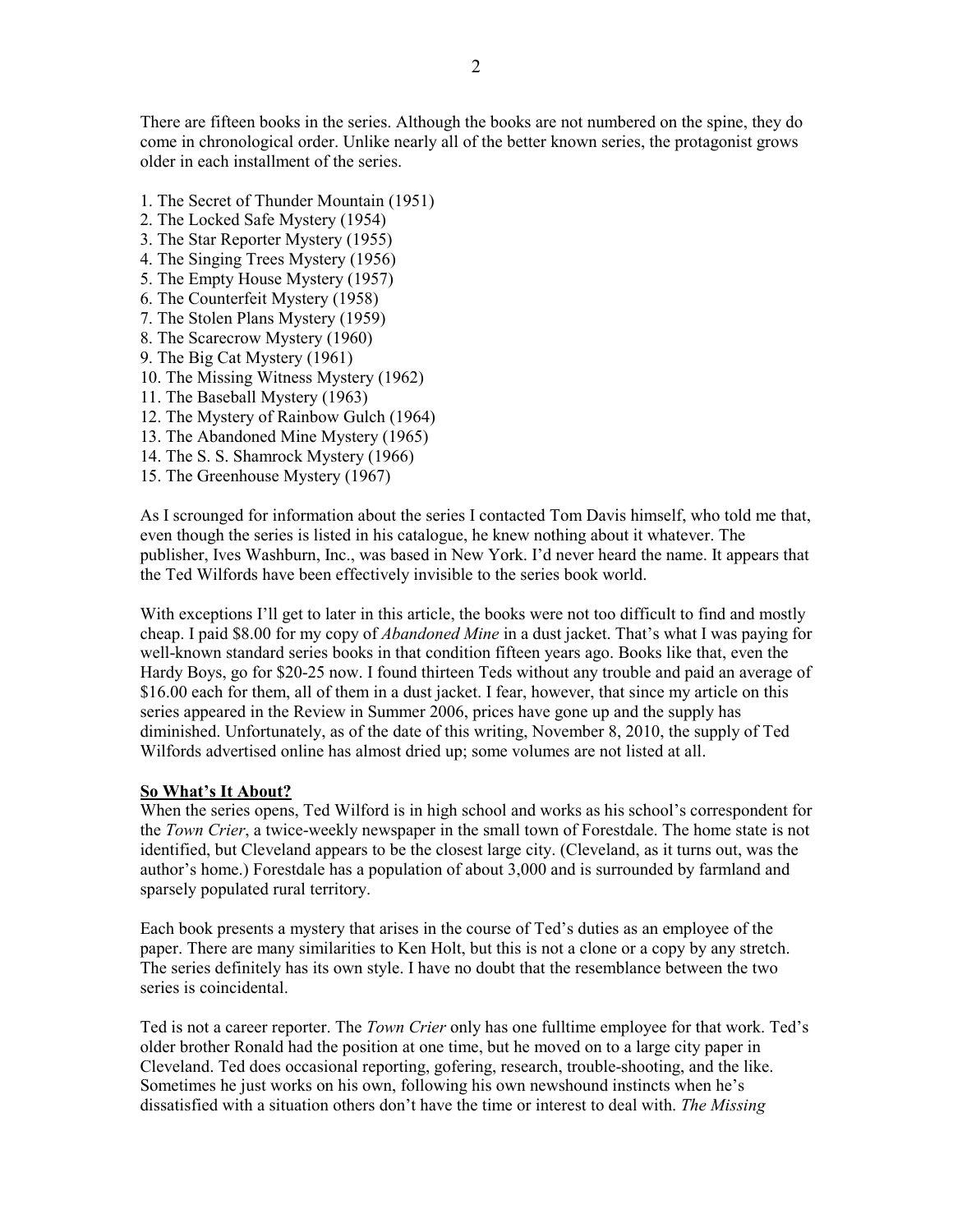There are fifteen books in the series. Although the books are not numbered on the spine, they do come in chronological order. Unlike nearly all of the better known series, the protagonist grows older in each installment of the series.

- 1. The Secret of Thunder Mountain (1951)
- 2. The Locked Safe Mystery (1954)
- 3. The Star Reporter Mystery (1955)
- 4. The Singing Trees Mystery (1956)
- 5. The Empty House Mystery (1957)
- 6. The Counterfeit Mystery (1958)
- 7. The Stolen Plans Mystery (1959)
- 8. The Scarecrow Mystery (1960)
- 9. The Big Cat Mystery (1961)
- 10. The Missing Witness Mystery (1962)
- 11. The Baseball Mystery (1963)
- 12. The Mystery of Rainbow Gulch (1964)
- 13. The Abandoned Mine Mystery (1965)
- 14. The S. S. Shamrock Mystery (1966)
- 15. The Greenhouse Mystery (1967)

As I scrounged for information about the series I contacted Tom Davis himself, who told me that, even though the series is listed in his catalogue, he knew nothing about it whatever. The publisher, Ives Washburn, Inc., was based in New York. I'd never heard the name. It appears that the Ted Wilfords have been effectively invisible to the series book world.

With exceptions I'll get to later in this article, the books were not too difficult to find and mostly cheap. I paid \$8.00 for my copy of *Abandoned Mine* in a dust jacket. That's what I was paying for well-known standard series books in that condition fifteen years ago. Books like that, even the Hardy Boys, go for \$20-25 now. I found thirteen Teds without any trouble and paid an average of \$16.00 each for them, all of them in a dust jacket. I fear, however, that since my article on this series appeared in the Review in Summer 2006, prices have gone up and the supply has diminished. Unfortunately, as of the date of this writing, November 8, 2010, the supply of Ted Wilfords advertised online has almost dried up; some volumes are not listed at all.

# **So What's It About?**

When the series opens, Ted Wilford is in high school and works as his school's correspondent for the *Town Crier*, a twice-weekly newspaper in the small town of Forestdale. The home state is not identified, but Cleveland appears to be the closest large city. (Cleveland, as it turns out, was the author's home.) Forestdale has a population of about 3,000 and is surrounded by farmland and sparsely populated rural territory.

Each book presents a mystery that arises in the course of Ted's duties as an employee of the paper. There are many similarities to Ken Holt, but this is not a clone or a copy by any stretch. The series definitely has its own style. I have no doubt that the resemblance between the two series is coincidental.

Ted is not a career reporter. The *Town Crier* only has one fulltime employee for that work. Ted's older brother Ronald had the position at one time, but he moved on to a large city paper in Cleveland. Ted does occasional reporting, gofering, research, trouble-shooting, and the like. Sometimes he just works on his own, following his own newshound instincts when he's dissatisfied with a situation others don't have the time or interest to deal with. *The Missing*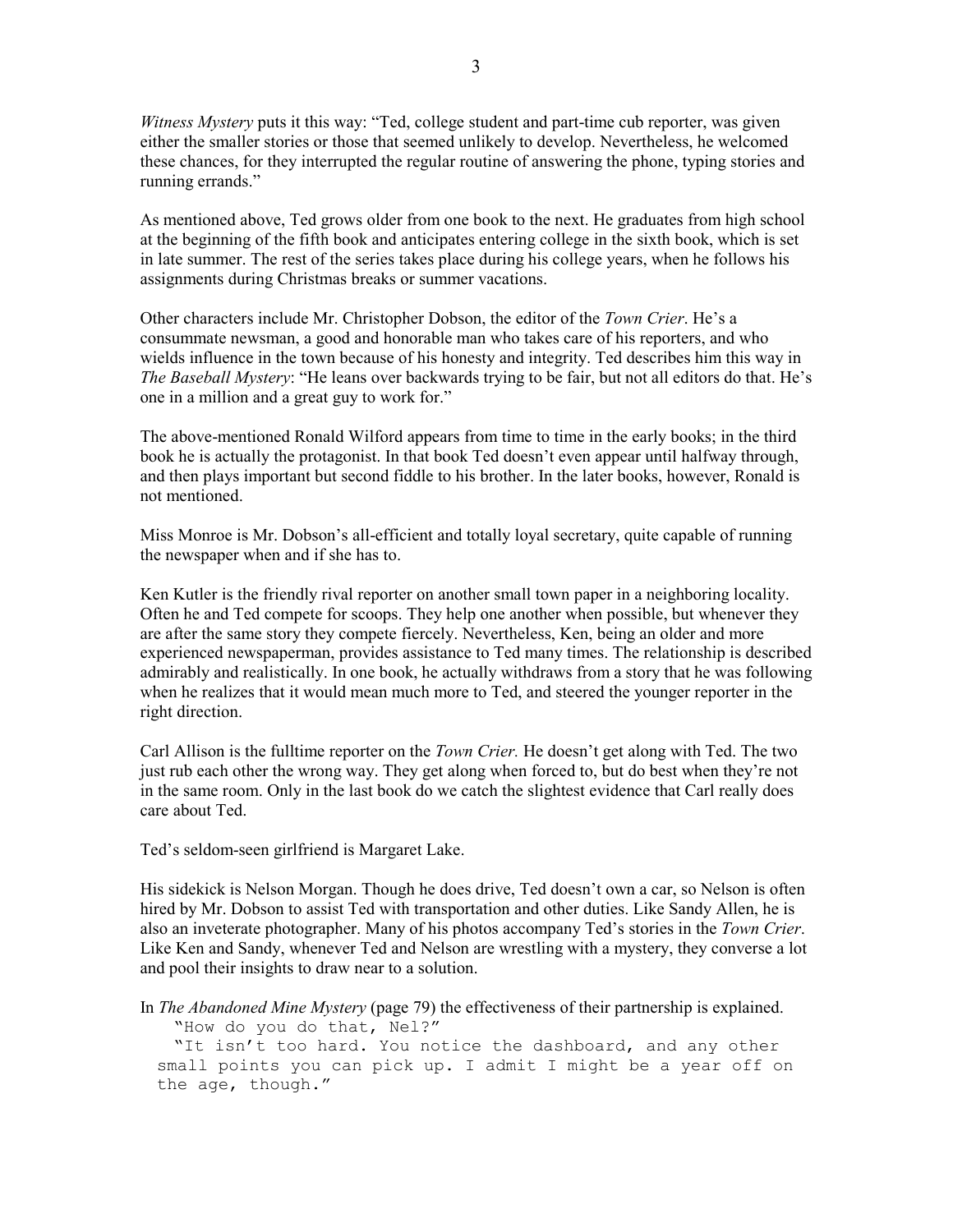*Witness Mystery* puts it this way: "Ted, college student and part-time cub reporter, was given either the smaller stories or those that seemed unlikely to develop. Nevertheless, he welcomed these chances, for they interrupted the regular routine of answering the phone, typing stories and running errands."

As mentioned above, Ted grows older from one book to the next. He graduates from high school at the beginning of the fifth book and anticipates entering college in the sixth book, which is set in late summer. The rest of the series takes place during his college years, when he follows his assignments during Christmas breaks or summer vacations.

Other characters include Mr. Christopher Dobson, the editor of the *Town Crier*. He's a consummate newsman, a good and honorable man who takes care of his reporters, and who wields influence in the town because of his honesty and integrity. Ted describes him this way in *The Baseball Mystery*: "He leans over backwards trying to be fair, but not all editors do that. He's one in a million and a great guy to work for."

The above-mentioned Ronald Wilford appears from time to time in the early books; in the third book he is actually the protagonist. In that book Ted doesn't even appear until halfway through, and then plays important but second fiddle to his brother. In the later books, however, Ronald is not mentioned.

Miss Monroe is Mr. Dobson's all-efficient and totally loyal secretary, quite capable of running the newspaper when and if she has to.

Ken Kutler is the friendly rival reporter on another small town paper in a neighboring locality. Often he and Ted compete for scoops. They help one another when possible, but whenever they are after the same story they compete fiercely. Nevertheless, Ken, being an older and more experienced newspaperman, provides assistance to Ted many times. The relationship is described admirably and realistically. In one book, he actually withdraws from a story that he was following when he realizes that it would mean much more to Ted, and steered the younger reporter in the right direction.

Carl Allison is the fulltime reporter on the *Town Crier.* He doesn't get along with Ted. The two just rub each other the wrong way. They get along when forced to, but do best when they're not in the same room. Only in the last book do we catch the slightest evidence that Carl really does care about Ted.

Ted's seldom-seen girlfriend is Margaret Lake.

His sidekick is Nelson Morgan. Though he does drive, Ted doesn't own a car, so Nelson is often hired by Mr. Dobson to assist Ted with transportation and other duties. Like Sandy Allen, he is also an inveterate photographer. Many of his photos accompany Ted's stories in the *Town Crier*. Like Ken and Sandy, whenever Ted and Nelson are wrestling with a mystery, they converse a lot and pool their insights to draw near to a solution.

In *The Abandoned Mine Mystery* (page 79) the effectiveness of their partnership is explained. "How do you do that, Nel?"

"It isn't too hard. You notice the dashboard, and any other small points you can pick up. I admit I might be a year off on the age, though."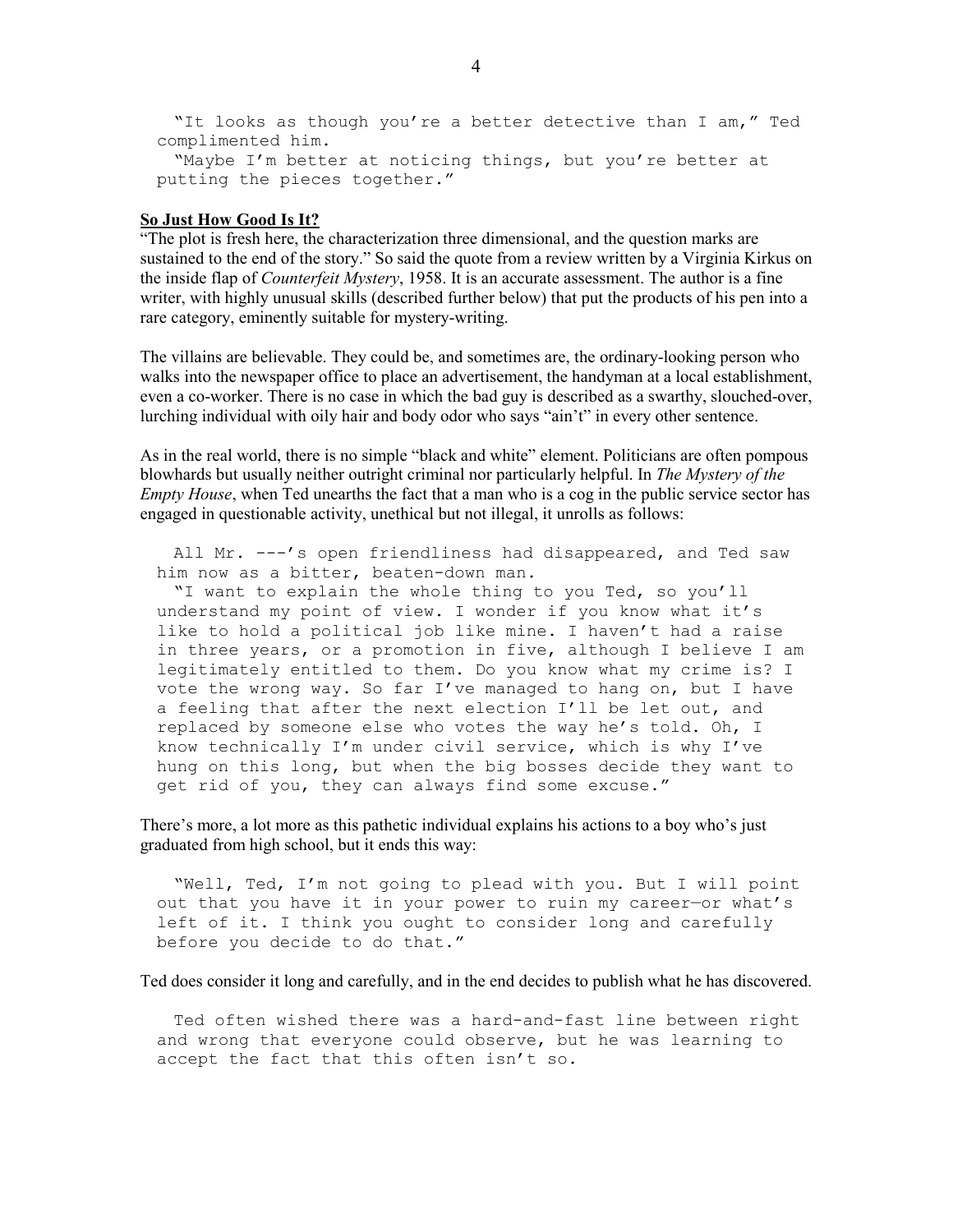"It looks as though you're a better detective than I am," Ted complimented him.

"Maybe I'm better at noticing things, but you're better at putting the pieces together."

## **So Just How Good Is It?**

"The plot is fresh here, the characterization three dimensional, and the question marks are sustained to the end of the story." So said the quote from a review written by a Virginia Kirkus on the inside flap of *Counterfeit Mystery*, 1958. It is an accurate assessment. The author is a fine writer, with highly unusual skills (described further below) that put the products of his pen into a rare category, eminently suitable for mystery-writing.

The villains are believable. They could be, and sometimes are, the ordinary-looking person who walks into the newspaper office to place an advertisement, the handyman at a local establishment, even a co-worker. There is no case in which the bad guy is described as a swarthy, slouched-over, lurching individual with oily hair and body odor who says "ain't" in every other sentence.

As in the real world, there is no simple "black and white" element. Politicians are often pompous blowhards but usually neither outright criminal nor particularly helpful. In *The Mystery of the Empty House*, when Ted unearths the fact that a man who is a cog in the public service sector has engaged in questionable activity, unethical but not illegal, it unrolls as follows:

 All Mr. ---'s open friendliness had disappeared, and Ted saw him now as a bitter, beaten-down man.

 "I want to explain the whole thing to you Ted, so you'll understand my point of view. I wonder if you know what it's like to hold a political job like mine. I haven't had a raise in three years, or a promotion in five, although I believe I am legitimately entitled to them. Do you know what my crime is? I vote the wrong way. So far I've managed to hang on, but I have a feeling that after the next election I'll be let out, and replaced by someone else who votes the way he's told. Oh, I know technically I'm under civil service, which is why I've hung on this long, but when the big bosses decide they want to get rid of you, they can always find some excuse."

There's more, a lot more as this pathetic individual explains his actions to a boy who's just graduated from high school, but it ends this way:

 "Well, Ted, I'm not going to plead with you. But I will point out that you have it in your power to ruin my career—or what's left of it. I think you ought to consider long and carefully before you decide to do that."

Ted does consider it long and carefully, and in the end decides to publish what he has discovered.

 Ted often wished there was a hard-and-fast line between right and wrong that everyone could observe, but he was learning to accept the fact that this often isn't so.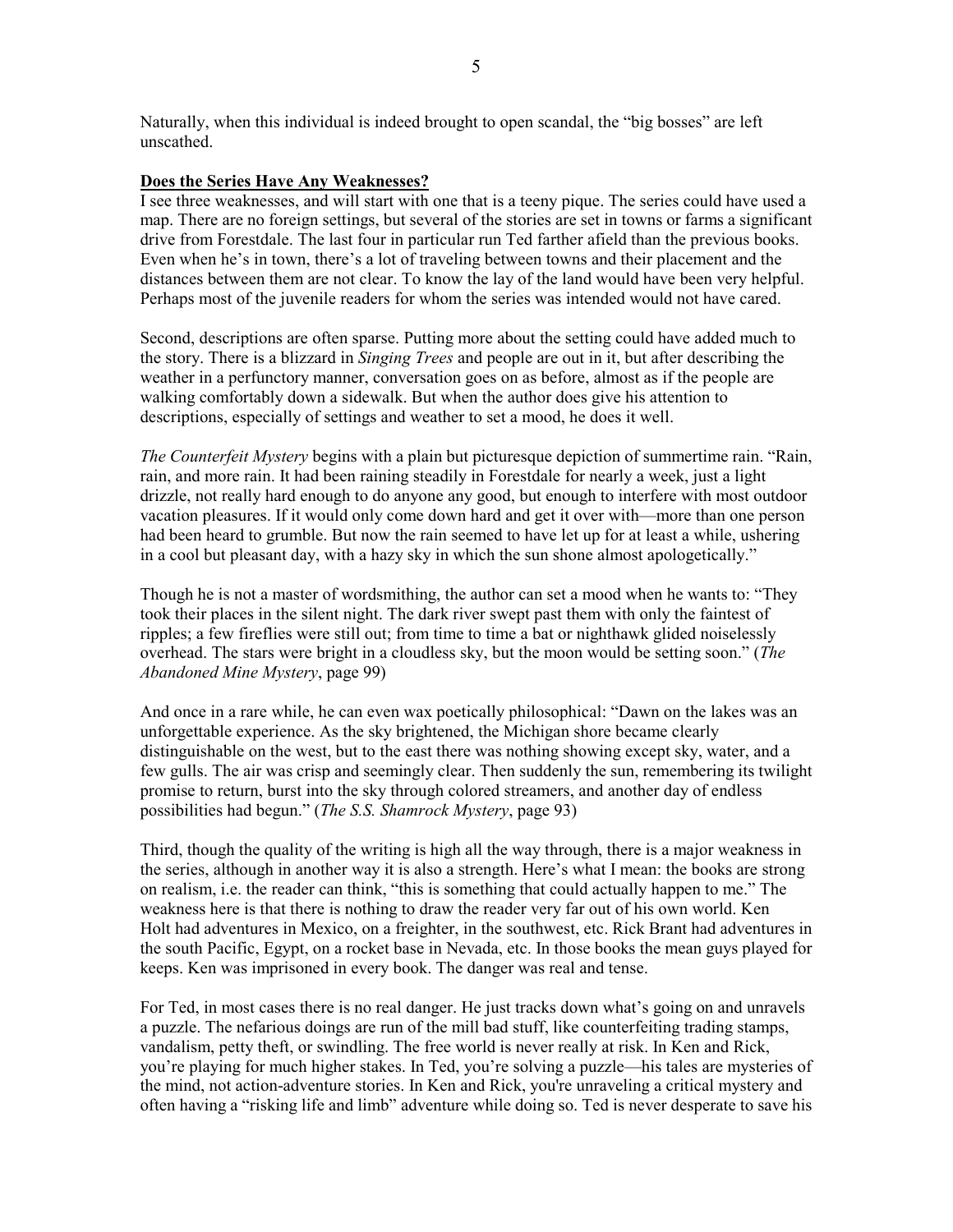Naturally, when this individual is indeed brought to open scandal, the "big bosses" are left unscathed.

# **Does the Series Have Any Weaknesses?**

I see three weaknesses, and will start with one that is a teeny pique. The series could have used a map. There are no foreign settings, but several of the stories are set in towns or farms a significant drive from Forestdale. The last four in particular run Ted farther afield than the previous books. Even when he's in town, there's a lot of traveling between towns and their placement and the distances between them are not clear. To know the lay of the land would have been very helpful. Perhaps most of the juvenile readers for whom the series was intended would not have cared.

Second, descriptions are often sparse. Putting more about the setting could have added much to the story. There is a blizzard in *Singing Trees* and people are out in it, but after describing the weather in a perfunctory manner, conversation goes on as before, almost as if the people are walking comfortably down a sidewalk. But when the author does give his attention to descriptions, especially of settings and weather to set a mood, he does it well.

*The Counterfeit Mystery* begins with a plain but picturesque depiction of summertime rain. "Rain, rain, and more rain. It had been raining steadily in Forestdale for nearly a week, just a light drizzle, not really hard enough to do anyone any good, but enough to interfere with most outdoor vacation pleasures. If it would only come down hard and get it over with—more than one person had been heard to grumble. But now the rain seemed to have let up for at least a while, ushering in a cool but pleasant day, with a hazy sky in which the sun shone almost apologetically."

Though he is not a master of wordsmithing, the author can set a mood when he wants to: "They took their places in the silent night. The dark river swept past them with only the faintest of ripples; a few fireflies were still out; from time to time a bat or nighthawk glided noiselessly overhead. The stars were bright in a cloudless sky, but the moon would be setting soon." (*The Abandoned Mine Mystery*, page 99)

And once in a rare while, he can even wax poetically philosophical: "Dawn on the lakes was an unforgettable experience. As the sky brightened, the Michigan shore became clearly distinguishable on the west, but to the east there was nothing showing except sky, water, and a few gulls. The air was crisp and seemingly clear. Then suddenly the sun, remembering its twilight promise to return, burst into the sky through colored streamers, and another day of endless possibilities had begun." (*The S.S. Shamrock Mystery*, page 93)

Third, though the quality of the writing is high all the way through, there is a major weakness in the series, although in another way it is also a strength. Here's what I mean: the books are strong on realism, i.e. the reader can think, "this is something that could actually happen to me." The weakness here is that there is nothing to draw the reader very far out of his own world. Ken Holt had adventures in Mexico, on a freighter, in the southwest, etc. Rick Brant had adventures in the south Pacific, Egypt, on a rocket base in Nevada, etc. In those books the mean guys played for keeps. Ken was imprisoned in every book. The danger was real and tense.

For Ted, in most cases there is no real danger. He just tracks down what's going on and unravels a puzzle. The nefarious doings are run of the mill bad stuff, like counterfeiting trading stamps, vandalism, petty theft, or swindling. The free world is never really at risk. In Ken and Rick, you're playing for much higher stakes. In Ted, you're solving a puzzle—his tales are mysteries of the mind, not action-adventure stories. In Ken and Rick, you're unraveling a critical mystery and often having a "risking life and limb" adventure while doing so. Ted is never desperate to save his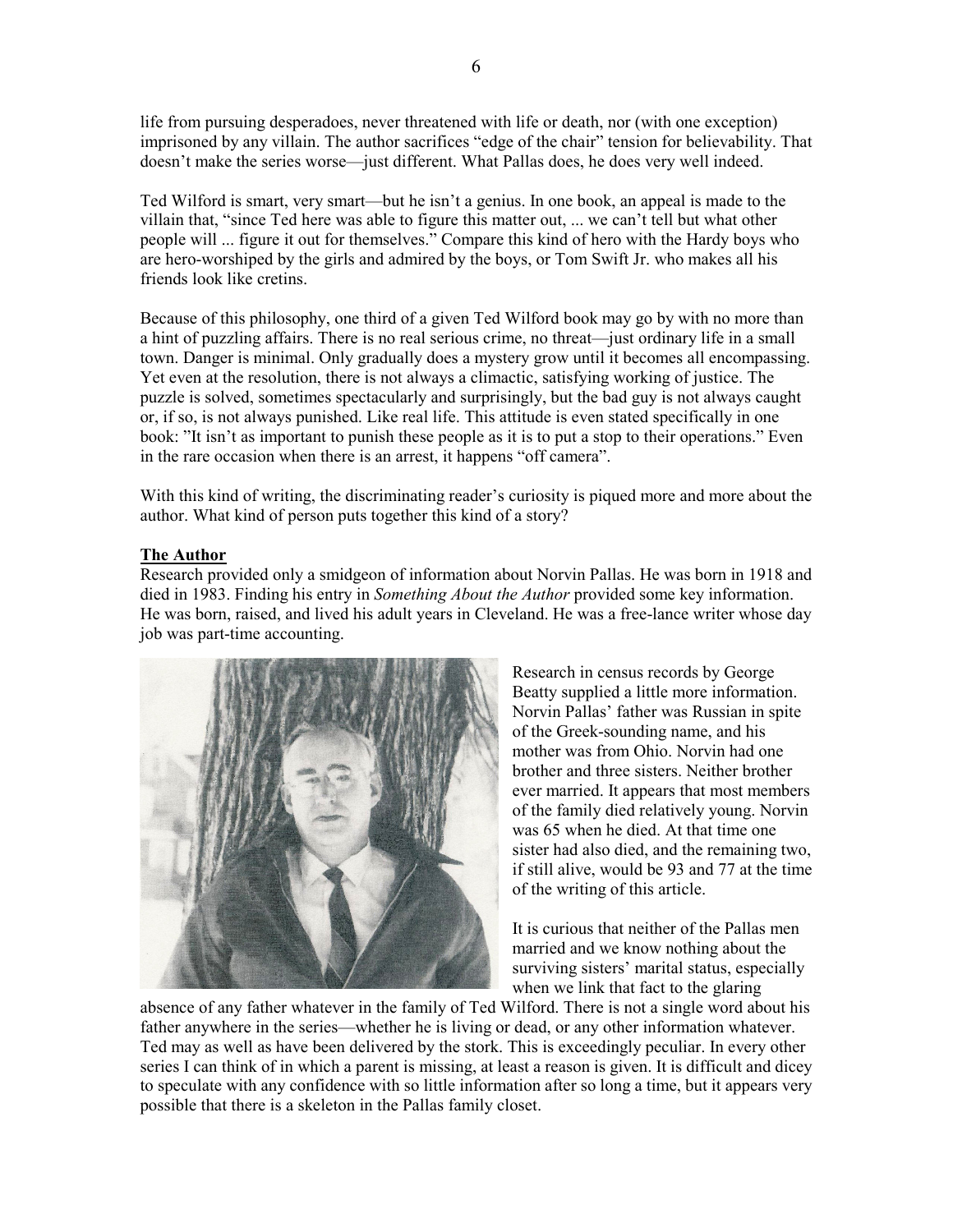life from pursuing desperadoes, never threatened with life or death, nor (with one exception) imprisoned by any villain. The author sacrifices "edge of the chair" tension for believability. That doesn't make the series worse—just different. What Pallas does, he does very well indeed.

Ted Wilford is smart, very smart—but he isn't a genius. In one book, an appeal is made to the villain that, "since Ted here was able to figure this matter out, ... we can't tell but what other people will ... figure it out for themselves." Compare this kind of hero with the Hardy boys who are hero-worshiped by the girls and admired by the boys, or Tom Swift Jr. who makes all his friends look like cretins.

Because of this philosophy, one third of a given Ted Wilford book may go by with no more than a hint of puzzling affairs. There is no real serious crime, no threat—just ordinary life in a small town. Danger is minimal. Only gradually does a mystery grow until it becomes all encompassing. Yet even at the resolution, there is not always a climactic, satisfying working of justice. The puzzle is solved, sometimes spectacularly and surprisingly, but the bad guy is not always caught or, if so, is not always punished. Like real life. This attitude is even stated specifically in one book: "It isn't as important to punish these people as it is to put a stop to their operations." Even in the rare occasion when there is an arrest, it happens "off camera".

With this kind of writing, the discriminating reader's curiosity is piqued more and more about the author. What kind of person puts together this kind of a story?

# **The Author**

Research provided only a smidgeon of information about Norvin Pallas. He was born in 1918 and died in 1983. Finding his entry in *Something About the Author* provided some key information. He was born, raised, and lived his adult years in Cleveland. He was a free-lance writer whose day job was part-time accounting.



Research in census records by George Beatty supplied a little more information. Norvin Pallas' father was Russian in spite of the Greek-sounding name, and his mother was from Ohio. Norvin had one brother and three sisters. Neither brother ever married. It appears that most members of the family died relatively young. Norvin was 65 when he died. At that time one sister had also died, and the remaining two, if still alive, would be 93 and 77 at the time of the writing of this article.

It is curious that neither of the Pallas men married and we know nothing about the surviving sisters' marital status, especially when we link that fact to the glaring

absence of any father whatever in the family of Ted Wilford. There is not a single word about his father anywhere in the series—whether he is living or dead, or any other information whatever. Ted may as well as have been delivered by the stork. This is exceedingly peculiar. In every other series I can think of in which a parent is missing, at least a reason is given. It is difficult and dicey to speculate with any confidence with so little information after so long a time, but it appears very possible that there is a skeleton in the Pallas family closet.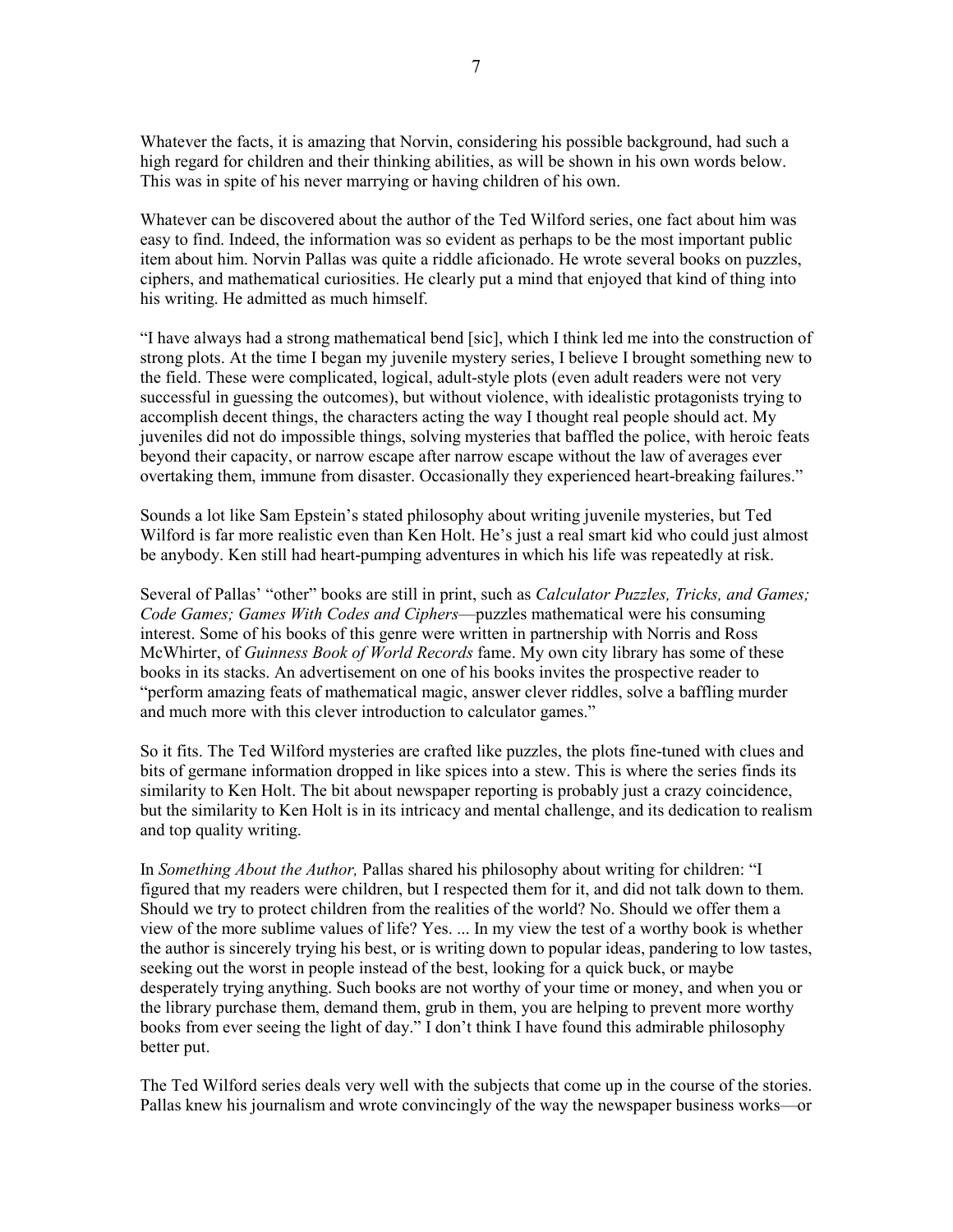Whatever the facts, it is amazing that Norvin, considering his possible background, had such a high regard for children and their thinking abilities, as will be shown in his own words below. This was in spite of his never marrying or having children of his own.

Whatever can be discovered about the author of the Ted Wilford series, one fact about him was easy to find. Indeed, the information was so evident as perhaps to be the most important public item about him. Norvin Pallas was quite a riddle aficionado. He wrote several books on puzzles, ciphers, and mathematical curiosities. He clearly put a mind that enjoyed that kind of thing into his writing. He admitted as much himself.

"I have always had a strong mathematical bend [sic], which I think led me into the construction of strong plots. At the time I began my juvenile mystery series, I believe I brought something new to the field. These were complicated, logical, adult-style plots (even adult readers were not very successful in guessing the outcomes), but without violence, with idealistic protagonists trying to accomplish decent things, the characters acting the way I thought real people should act. My juveniles did not do impossible things, solving mysteries that baffled the police, with heroic feats beyond their capacity, or narrow escape after narrow escape without the law of averages ever overtaking them, immune from disaster. Occasionally they experienced heart-breaking failures."

Sounds a lot like Sam Epstein's stated philosophy about writing juvenile mysteries, but Ted Wilford is far more realistic even than Ken Holt. He's just a real smart kid who could just almost be anybody. Ken still had heart-pumping adventures in which his life was repeatedly at risk.

Several of Pallas' "other" books are still in print, such as *Calculator Puzzles, Tricks, and Games; Code Games; Games With Codes and Ciphers*—puzzles mathematical were his consuming interest. Some of his books of this genre were written in partnership with Norris and Ross McWhirter, of *Guinness Book of World Records* fame. My own city library has some of these books in its stacks. An advertisement on one of his books invites the prospective reader to "perform amazing feats of mathematical magic, answer clever riddles, solve a baffling murder and much more with this clever introduction to calculator games."

So it fits. The Ted Wilford mysteries are crafted like puzzles, the plots fine-tuned with clues and bits of germane information dropped in like spices into a stew. This is where the series finds its similarity to Ken Holt. The bit about newspaper reporting is probably just a crazy coincidence, but the similarity to Ken Holt is in its intricacy and mental challenge, and its dedication to realism and top quality writing.

In *Something About the Author,* Pallas shared his philosophy about writing for children: "I figured that my readers were children, but I respected them for it, and did not talk down to them. Should we try to protect children from the realities of the world? No. Should we offer them a view of the more sublime values of life? Yes. ... In my view the test of a worthy book is whether the author is sincerely trying his best, or is writing down to popular ideas, pandering to low tastes, seeking out the worst in people instead of the best, looking for a quick buck, or maybe desperately trying anything. Such books are not worthy of your time or money, and when you or the library purchase them, demand them, grub in them, you are helping to prevent more worthy books from ever seeing the light of day." I don't think I have found this admirable philosophy better put.

The Ted Wilford series deals very well with the subjects that come up in the course of the stories. Pallas knew his journalism and wrote convincingly of the way the newspaper business works—or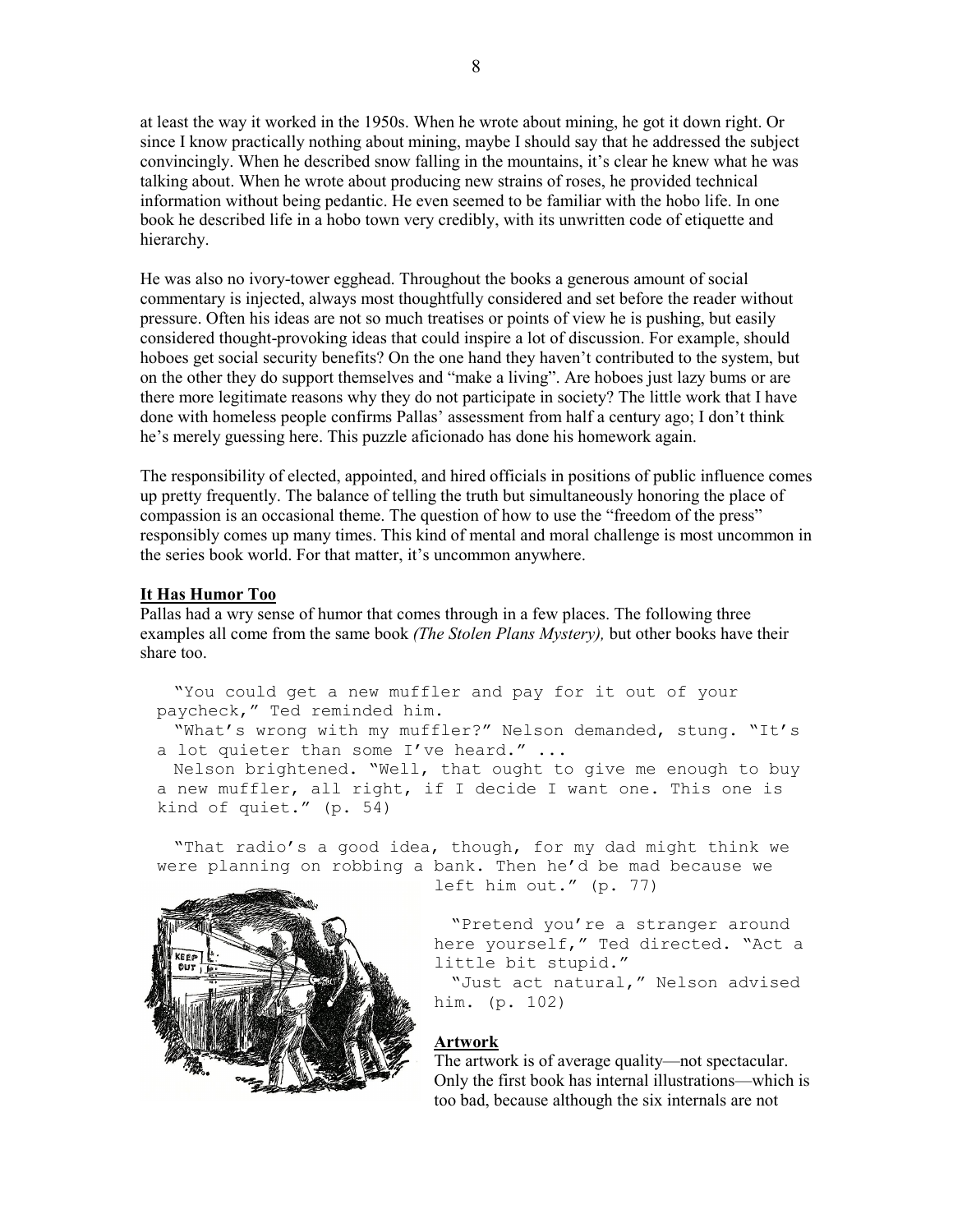at least the way it worked in the 1950s. When he wrote about mining, he got it down right. Or since I know practically nothing about mining, maybe I should say that he addressed the subject convincingly. When he described snow falling in the mountains, it's clear he knew what he was talking about. When he wrote about producing new strains of roses, he provided technical information without being pedantic. He even seemed to be familiar with the hobo life. In one book he described life in a hobo town very credibly, with its unwritten code of etiquette and hierarchy.

He was also no ivory-tower egghead. Throughout the books a generous amount of social commentary is injected, always most thoughtfully considered and set before the reader without pressure. Often his ideas are not so much treatises or points of view he is pushing, but easily considered thought-provoking ideas that could inspire a lot of discussion. For example, should hoboes get social security benefits? On the one hand they haven't contributed to the system, but on the other they do support themselves and "make a living". Are hoboes just lazy bums or are there more legitimate reasons why they do not participate in society? The little work that I have done with homeless people confirms Pallas' assessment from half a century ago; I don't think he's merely guessing here. This puzzle aficionado has done his homework again.

The responsibility of elected, appointed, and hired officials in positions of public influence comes up pretty frequently. The balance of telling the truth but simultaneously honoring the place of compassion is an occasional theme. The question of how to use the "freedom of the press" responsibly comes up many times. This kind of mental and moral challenge is most uncommon in the series book world. For that matter, it's uncommon anywhere.

## **It Has Humor Too**

Pallas had a wry sense of humor that comes through in a few places. The following three examples all come from the same book *(The Stolen Plans Mystery),* but other books have their share too.

"You could get a new muffler and pay for it out of your paycheck," Ted reminded him.

"What's wrong with my muffler?" Nelson demanded, stung. "It's a lot quieter than some I've heard." ...

Nelson brightened. "Well, that ought to give me enough to buy a new muffler, all right, if I decide I want one. This one is kind of quiet." (p. 54)

"That radio's a good idea, though, for my dad might think we were planning on robbing a bank. Then he'd be mad because we



left him out." (p. 77)

"Pretend you're a stranger around here yourself," Ted directed. "Act a little bit stupid."

"Just act natural," Nelson advised him. (p. 102)

### **Artwork**

The artwork is of average quality—not spectacular. Only the first book has internal illustrations—which is too bad, because although the six internals are not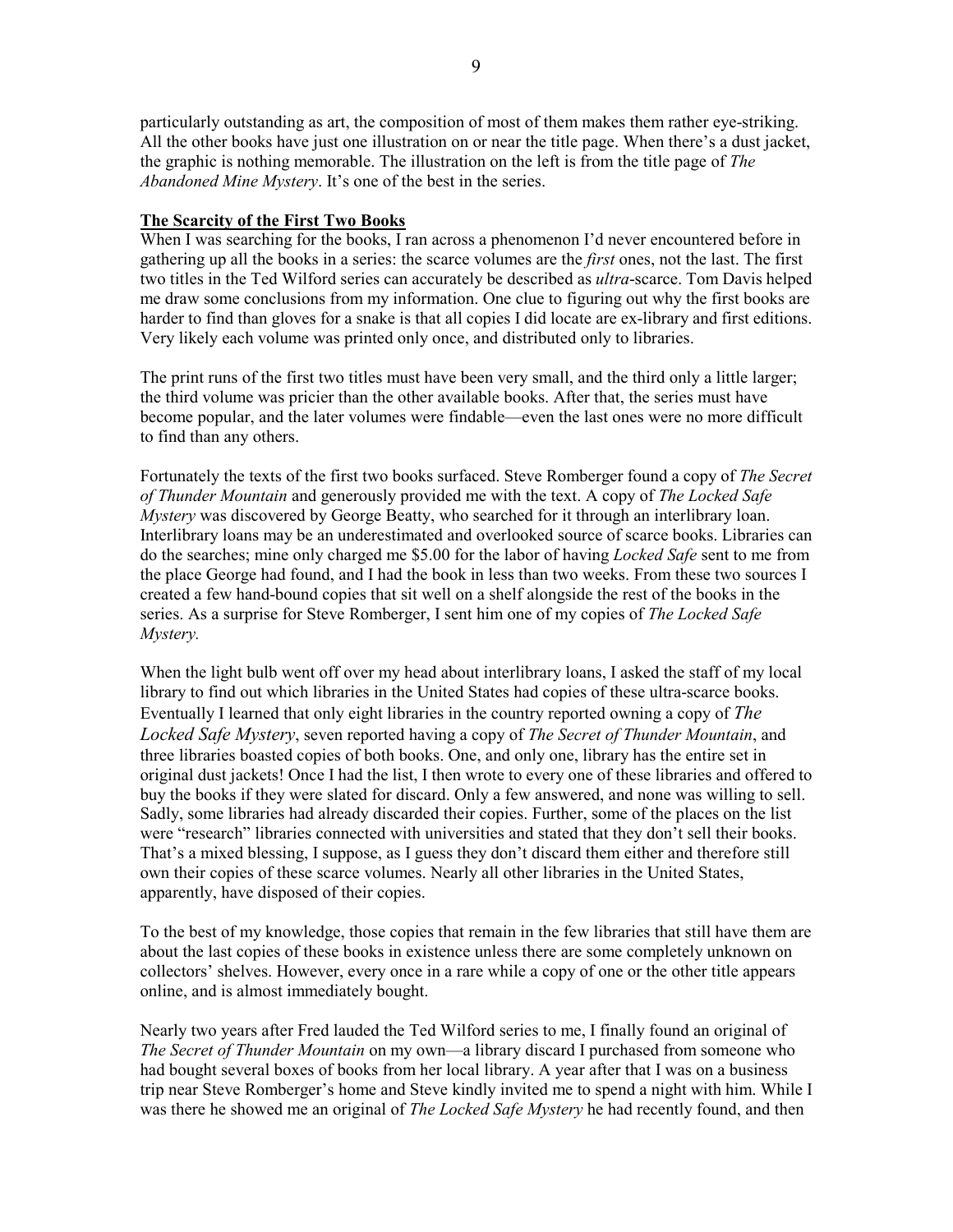particularly outstanding as art, the composition of most of them makes them rather eye-striking. All the other books have just one illustration on or near the title page. When there's a dust jacket, the graphic is nothing memorable. The illustration on the left is from the title page of *The Abandoned Mine Mystery*. It's one of the best in the series.

## **The Scarcity of the First Two Books**

When I was searching for the books, I ran across a phenomenon I'd never encountered before in gathering up all the books in a series: the scarce volumes are the *first* ones, not the last. The first two titles in the Ted Wilford series can accurately be described as *ultra*-scarce. Tom Davis helped me draw some conclusions from my information. One clue to figuring out why the first books are harder to find than gloves for a snake is that all copies I did locate are ex-library and first editions. Very likely each volume was printed only once, and distributed only to libraries.

The print runs of the first two titles must have been very small, and the third only a little larger; the third volume was pricier than the other available books. After that, the series must have become popular, and the later volumes were findable—even the last ones were no more difficult to find than any others.

Fortunately the texts of the first two books surfaced. Steve Romberger found a copy of *The Secret of Thunder Mountain* and generously provided me with the text. A copy of *The Locked Safe Mystery* was discovered by George Beatty, who searched for it through an interlibrary loan. Interlibrary loans may be an underestimated and overlooked source of scarce books. Libraries can do the searches; mine only charged me \$5.00 for the labor of having *Locked Safe* sent to me from the place George had found, and I had the book in less than two weeks. From these two sources I created a few hand-bound copies that sit well on a shelf alongside the rest of the books in the series. As a surprise for Steve Romberger, I sent him one of my copies of *The Locked Safe Mystery.*

When the light bulb went off over my head about interlibrary loans, I asked the staff of my local library to find out which libraries in the United States had copies of these ultra-scarce books. Eventually I learned that only eight libraries in the country reported owning a copy of *The Locked Safe Mystery*, seven reported having a copy of *The Secret of Thunder Mountain*, and three libraries boasted copies of both books. One, and only one, library has the entire set in original dust jackets! Once I had the list, I then wrote to every one of these libraries and offered to buy the books if they were slated for discard. Only a few answered, and none was willing to sell. Sadly, some libraries had already discarded their copies. Further, some of the places on the list were "research" libraries connected with universities and stated that they don't sell their books. That's a mixed blessing, I suppose, as I guess they don't discard them either and therefore still own their copies of these scarce volumes. Nearly all other libraries in the United States, apparently, have disposed of their copies.

To the best of my knowledge, those copies that remain in the few libraries that still have them are about the last copies of these books in existence unless there are some completely unknown on collectors' shelves. However, every once in a rare while a copy of one or the other title appears online, and is almost immediately bought.

Nearly two years after Fred lauded the Ted Wilford series to me, I finally found an original of *The Secret of Thunder Mountain* on my own—a library discard I purchased from someone who had bought several boxes of books from her local library. A year after that I was on a business trip near Steve Romberger's home and Steve kindly invited me to spend a night with him. While I was there he showed me an original of *The Locked Safe Mystery* he had recently found, and then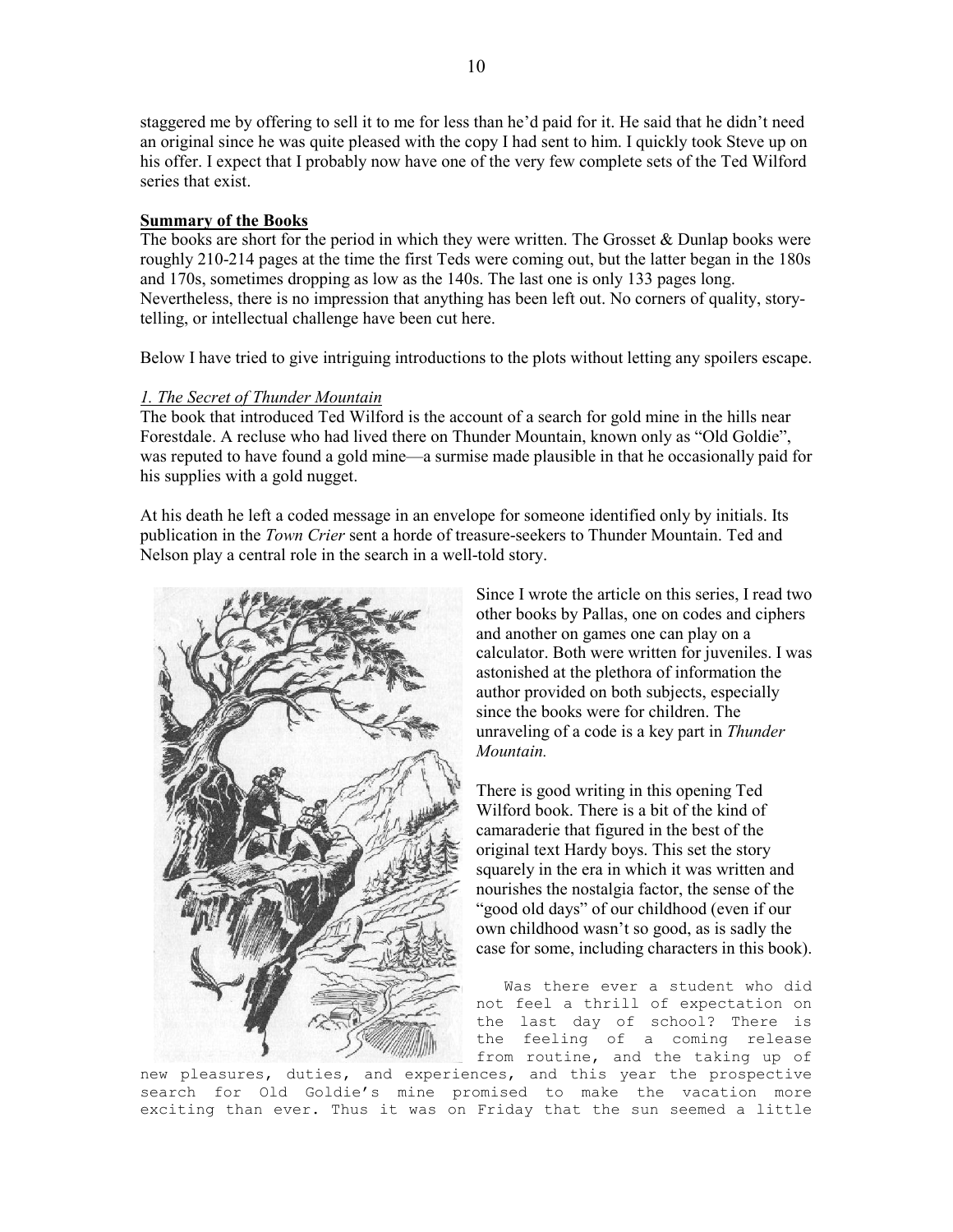staggered me by offering to sell it to me for less than he'd paid for it. He said that he didn't need an original since he was quite pleased with the copy I had sent to him. I quickly took Steve up on his offer. I expect that I probably now have one of the very few complete sets of the Ted Wilford series that exist.

### **Summary of the Books**

The books are short for the period in which they were written. The Grosset  $\&$  Dunlap books were roughly 210-214 pages at the time the first Teds were coming out, but the latter began in the 180s and 170s, sometimes dropping as low as the 140s. The last one is only 133 pages long. Nevertheless, there is no impression that anything has been left out. No corners of quality, storytelling, or intellectual challenge have been cut here.

Below I have tried to give intriguing introductions to the plots without letting any spoilers escape.

#### *1. The Secret of Thunder Mountain*

The book that introduced Ted Wilford is the account of a search for gold mine in the hills near Forestdale. A recluse who had lived there on Thunder Mountain, known only as "Old Goldie", was reputed to have found a gold mine—a surmise made plausible in that he occasionally paid for his supplies with a gold nugget.

At his death he left a coded message in an envelope for someone identified only by initials. Its publication in the *Town Crier* sent a horde of treasure-seekers to Thunder Mountain. Ted and Nelson play a central role in the search in a well-told story.



Since I wrote the article on this series, I read two other books by Pallas, one on codes and ciphers and another on games one can play on a calculator. Both were written for juveniles. I was astonished at the plethora of information the author provided on both subjects, especially since the books were for children. The unraveling of a code is a key part in *Thunder Mountain.* 

There is good writing in this opening Ted Wilford book. There is a bit of the kind of camaraderie that figured in the best of the original text Hardy boys. This set the story squarely in the era in which it was written and nourishes the nostalgia factor, the sense of the "good old days" of our childhood (even if our own childhood wasn't so good, as is sadly the case for some, including characters in this book).

Was there ever a student who did not feel a thrill of expectation on the last day of school? There is the feeling of a coming release from routine, and the taking up of

new pleasures, duties, and experiences, and this year the prospective search for Old Goldie's mine promised to make the vacation more exciting than ever. Thus it was on Friday that the sun seemed a little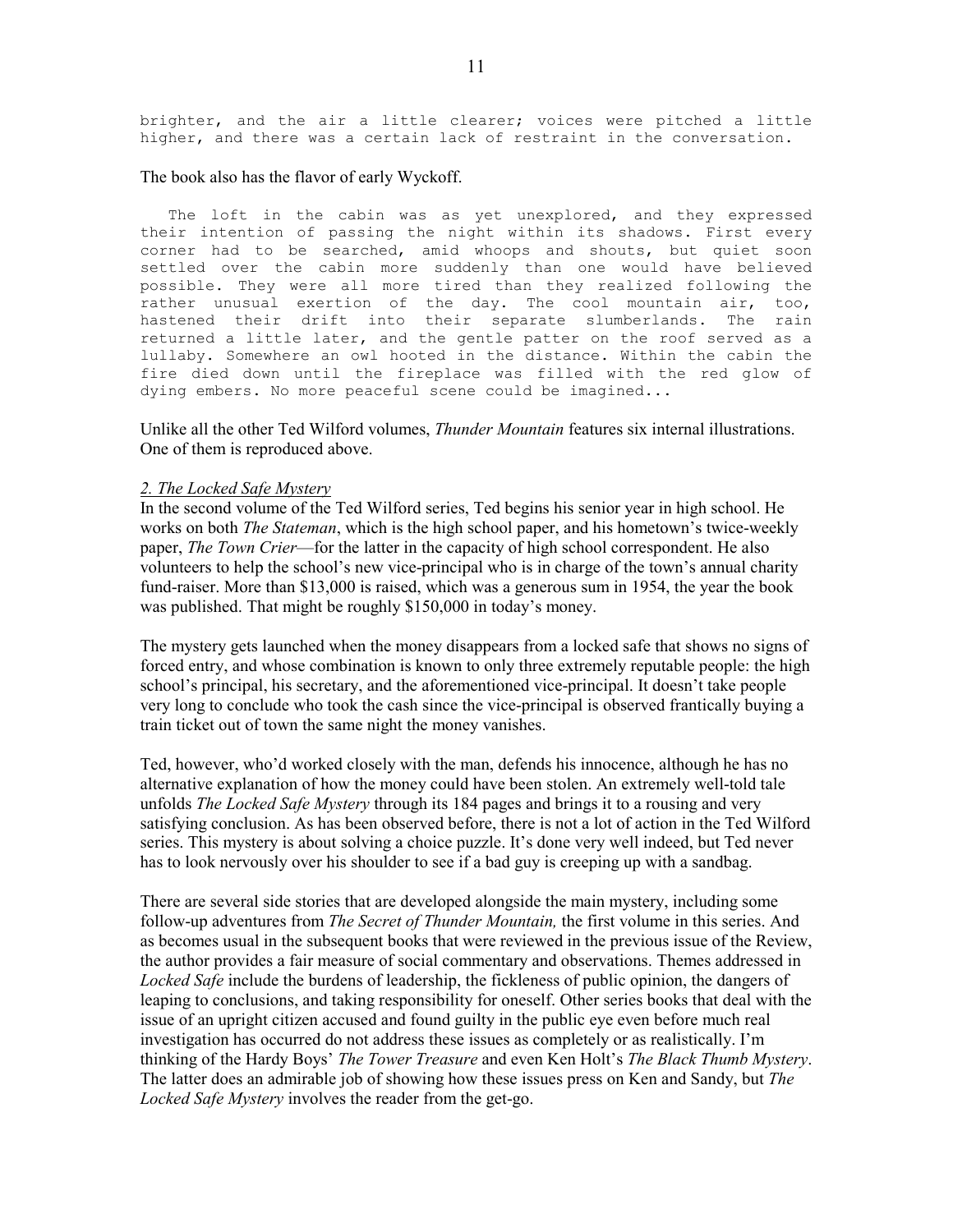brighter, and the air a little clearer; voices were pitched a little higher, and there was a certain lack of restraint in the conversation.

#### The book also has the flavor of early Wyckoff.

The loft in the cabin was as yet unexplored, and they expressed their intention of passing the night within its shadows. First every corner had to be searched, amid whoops and shouts, but quiet soon settled over the cabin more suddenly than one would have believed possible. They were all more tired than they realized following the rather unusual exertion of the day. The cool mountain air, too, hastened their drift into their separate slumberlands. The rain returned a little later, and the gentle patter on the roof served as a lullaby. Somewhere an owl hooted in the distance. Within the cabin the fire died down until the fireplace was filled with the red glow of dying embers. No more peaceful scene could be imagined...

Unlike all the other Ted Wilford volumes, *Thunder Mountain* features six internal illustrations. One of them is reproduced above.

#### *2. The Locked Safe Mystery*

In the second volume of the Ted Wilford series, Ted begins his senior year in high school. He works on both *The Stateman*, which is the high school paper, and his hometown's twice-weekly paper, *The Town Crier*—for the latter in the capacity of high school correspondent. He also volunteers to help the school's new vice-principal who is in charge of the town's annual charity fund-raiser. More than \$13,000 is raised, which was a generous sum in 1954, the year the book was published. That might be roughly \$150,000 in today's money.

The mystery gets launched when the money disappears from a locked safe that shows no signs of forced entry, and whose combination is known to only three extremely reputable people: the high school's principal, his secretary, and the aforementioned vice-principal. It doesn't take people very long to conclude who took the cash since the vice-principal is observed frantically buying a train ticket out of town the same night the money vanishes.

Ted, however, who'd worked closely with the man, defends his innocence, although he has no alternative explanation of how the money could have been stolen. An extremely well-told tale unfolds *The Locked Safe Mystery* through its 184 pages and brings it to a rousing and very satisfying conclusion. As has been observed before, there is not a lot of action in the Ted Wilford series. This mystery is about solving a choice puzzle. It's done very well indeed, but Ted never has to look nervously over his shoulder to see if a bad guy is creeping up with a sandbag.

There are several side stories that are developed alongside the main mystery, including some follow-up adventures from *The Secret of Thunder Mountain,* the first volume in this series. And as becomes usual in the subsequent books that were reviewed in the previous issue of the Review, the author provides a fair measure of social commentary and observations. Themes addressed in *Locked Safe* include the burdens of leadership, the fickleness of public opinion, the dangers of leaping to conclusions, and taking responsibility for oneself. Other series books that deal with the issue of an upright citizen accused and found guilty in the public eye even before much real investigation has occurred do not address these issues as completely or as realistically. I'm thinking of the Hardy Boys' *The Tower Treasure* and even Ken Holt's *The Black Thumb Mystery*. The latter does an admirable job of showing how these issues press on Ken and Sandy, but *The Locked Safe Mystery* involves the reader from the get-go.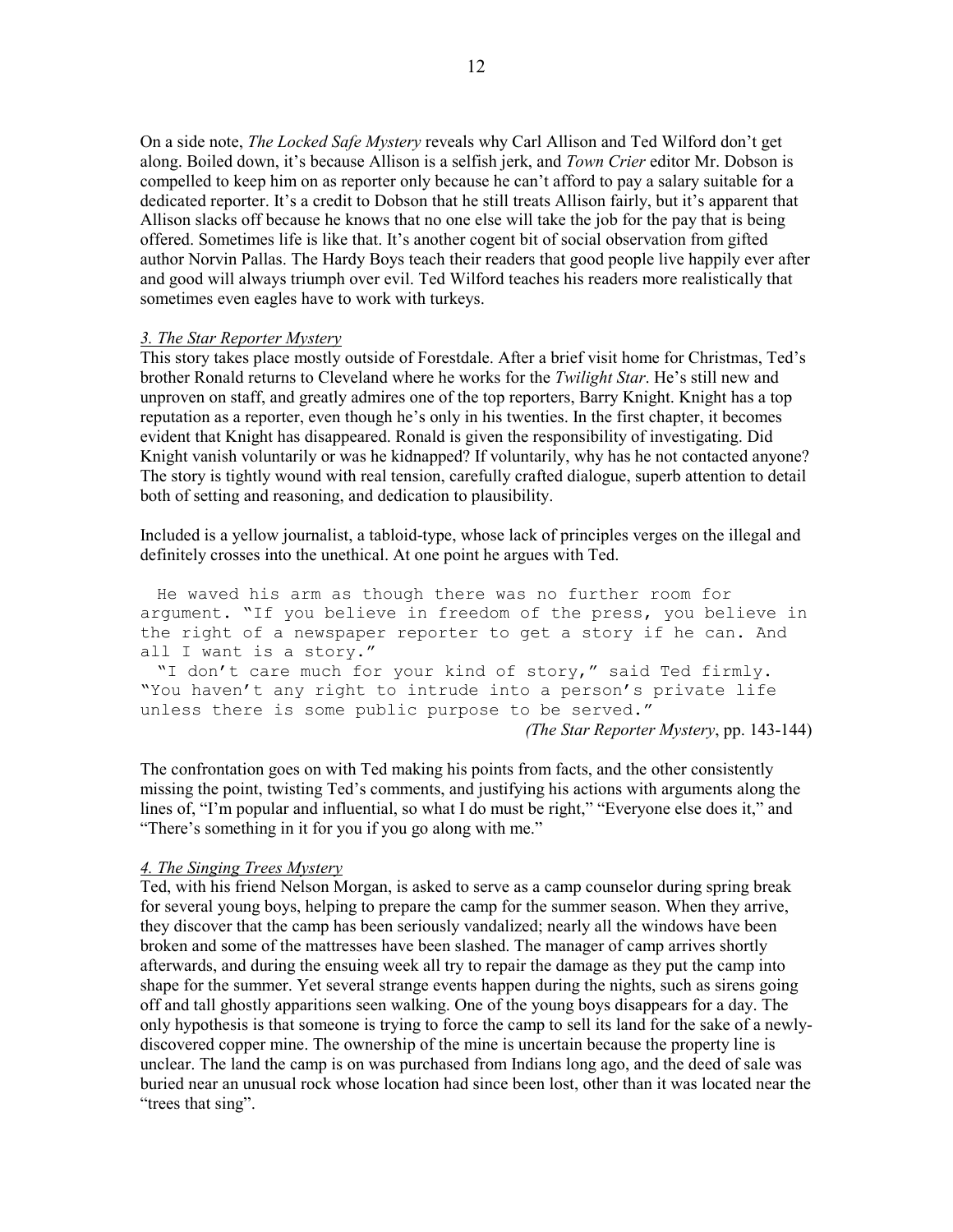On a side note, *The Locked Safe Mystery* reveals why Carl Allison and Ted Wilford don't get along. Boiled down, it's because Allison is a selfish jerk, and *Town Crier* editor Mr. Dobson is compelled to keep him on as reporter only because he can't afford to pay a salary suitable for a dedicated reporter. It's a credit to Dobson that he still treats Allison fairly, but it's apparent that Allison slacks off because he knows that no one else will take the job for the pay that is being offered. Sometimes life is like that. It's another cogent bit of social observation from gifted author Norvin Pallas. The Hardy Boys teach their readers that good people live happily ever after and good will always triumph over evil. Ted Wilford teaches his readers more realistically that sometimes even eagles have to work with turkeys.

#### *3. The Star Reporter Mystery*

This story takes place mostly outside of Forestdale. After a brief visit home for Christmas, Ted's brother Ronald returns to Cleveland where he works for the *Twilight Star*. He's still new and unproven on staff, and greatly admires one of the top reporters, Barry Knight. Knight has a top reputation as a reporter, even though he's only in his twenties. In the first chapter, it becomes evident that Knight has disappeared. Ronald is given the responsibility of investigating. Did Knight vanish voluntarily or was he kidnapped? If voluntarily, why has he not contacted anyone? The story is tightly wound with real tension, carefully crafted dialogue, superb attention to detail both of setting and reasoning, and dedication to plausibility.

Included is a yellow journalist, a tabloid-type, whose lack of principles verges on the illegal and definitely crosses into the unethical. At one point he argues with Ted.

 He waved his arm as though there was no further room for argument. "If you believe in freedom of the press, you believe in the right of a newspaper reporter to get a story if he can. And all I want is a story." "I don't care much for your kind of story," said Ted firmly. "You haven't any right to intrude into a person's private life unless there is some public purpose to be served." *(The Star Reporter Mystery*, pp. 143-144)

The confrontation goes on with Ted making his points from facts, and the other consistently missing the point, twisting Ted's comments, and justifying his actions with arguments along the lines of, "I'm popular and influential, so what I do must be right," "Everyone else does it," and "There's something in it for you if you go along with me."

## *4. The Singing Trees Mystery*

Ted, with his friend Nelson Morgan, is asked to serve as a camp counselor during spring break for several young boys, helping to prepare the camp for the summer season. When they arrive, they discover that the camp has been seriously vandalized; nearly all the windows have been broken and some of the mattresses have been slashed. The manager of camp arrives shortly afterwards, and during the ensuing week all try to repair the damage as they put the camp into shape for the summer. Yet several strange events happen during the nights, such as sirens going off and tall ghostly apparitions seen walking. One of the young boys disappears for a day. The only hypothesis is that someone is trying to force the camp to sell its land for the sake of a newlydiscovered copper mine. The ownership of the mine is uncertain because the property line is unclear. The land the camp is on was purchased from Indians long ago, and the deed of sale was buried near an unusual rock whose location had since been lost, other than it was located near the "trees that sing".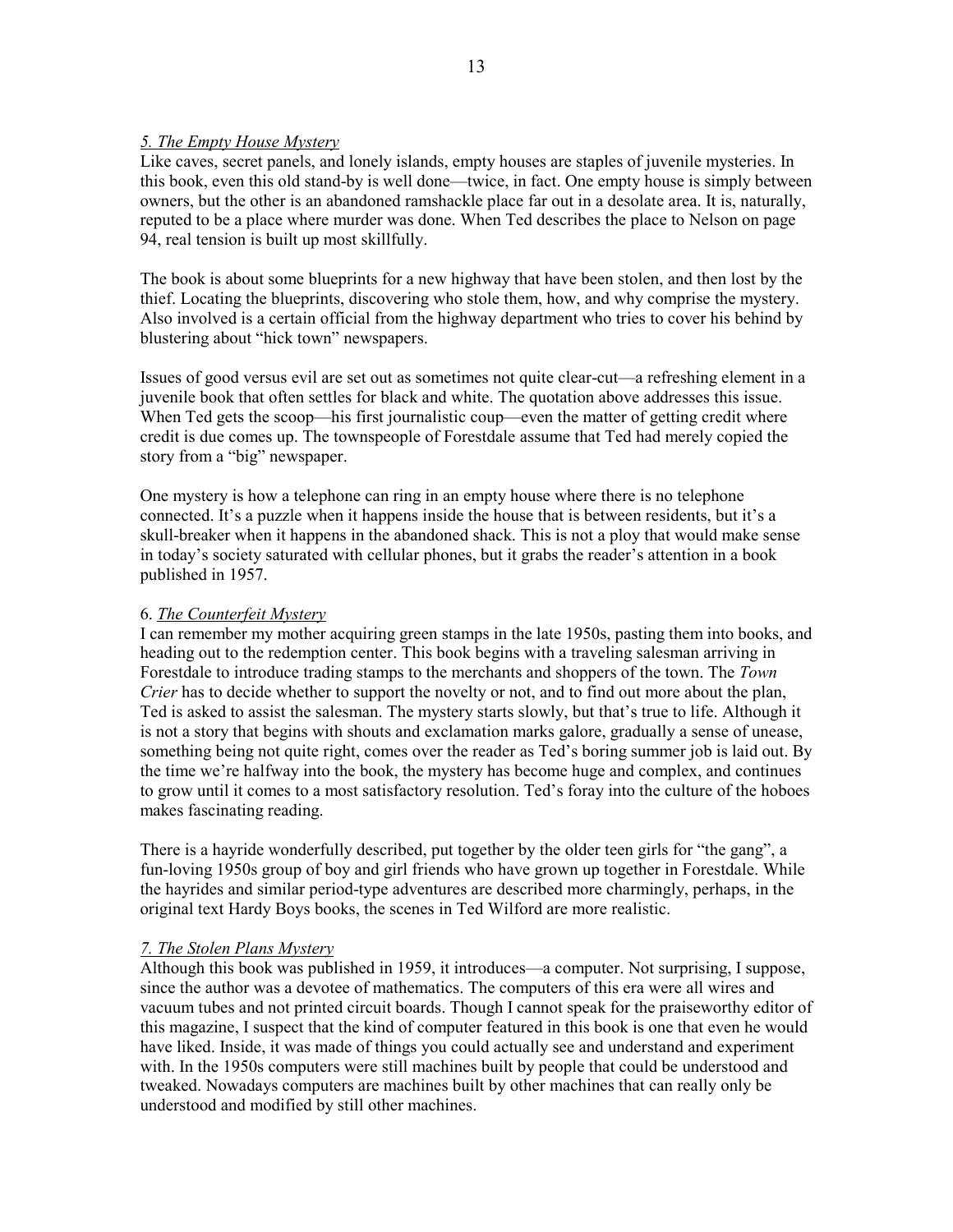## *5. The Empty House Mystery*

Like caves, secret panels, and lonely islands, empty houses are staples of juvenile mysteries. In this book, even this old stand-by is well done—twice, in fact. One empty house is simply between owners, but the other is an abandoned ramshackle place far out in a desolate area. It is, naturally, reputed to be a place where murder was done. When Ted describes the place to Nelson on page 94, real tension is built up most skillfully.

The book is about some blueprints for a new highway that have been stolen, and then lost by the thief. Locating the blueprints, discovering who stole them, how, and why comprise the mystery. Also involved is a certain official from the highway department who tries to cover his behind by blustering about "hick town" newspapers.

Issues of good versus evil are set out as sometimes not quite clear-cut—a refreshing element in a juvenile book that often settles for black and white. The quotation above addresses this issue. When Ted gets the scoop—his first journalistic coup—even the matter of getting credit where credit is due comes up. The townspeople of Forestdale assume that Ted had merely copied the story from a "big" newspaper.

One mystery is how a telephone can ring in an empty house where there is no telephone connected. It's a puzzle when it happens inside the house that is between residents, but it's a skull-breaker when it happens in the abandoned shack. This is not a ploy that would make sense in today's society saturated with cellular phones, but it grabs the reader's attention in a book published in 1957.

# 6. *The Counterfeit Mystery*

I can remember my mother acquiring green stamps in the late 1950s, pasting them into books, and heading out to the redemption center. This book begins with a traveling salesman arriving in Forestdale to introduce trading stamps to the merchants and shoppers of the town. The *Town Crier* has to decide whether to support the novelty or not, and to find out more about the plan, Ted is asked to assist the salesman. The mystery starts slowly, but that's true to life. Although it is not a story that begins with shouts and exclamation marks galore, gradually a sense of unease, something being not quite right, comes over the reader as Ted's boring summer job is laid out. By the time we're halfway into the book, the mystery has become huge and complex, and continues to grow until it comes to a most satisfactory resolution. Ted's foray into the culture of the hoboes makes fascinating reading.

There is a hayride wonderfully described, put together by the older teen girls for "the gang", a fun-loving 1950s group of boy and girl friends who have grown up together in Forestdale. While the hayrides and similar period-type adventures are described more charmingly, perhaps, in the original text Hardy Boys books, the scenes in Ted Wilford are more realistic.

# *7. The Stolen Plans Mystery*

Although this book was published in 1959, it introduces—a computer. Not surprising, I suppose, since the author was a devotee of mathematics. The computers of this era were all wires and vacuum tubes and not printed circuit boards. Though I cannot speak for the praiseworthy editor of this magazine, I suspect that the kind of computer featured in this book is one that even he would have liked. Inside, it was made of things you could actually see and understand and experiment with. In the 1950s computers were still machines built by people that could be understood and tweaked. Nowadays computers are machines built by other machines that can really only be understood and modified by still other machines.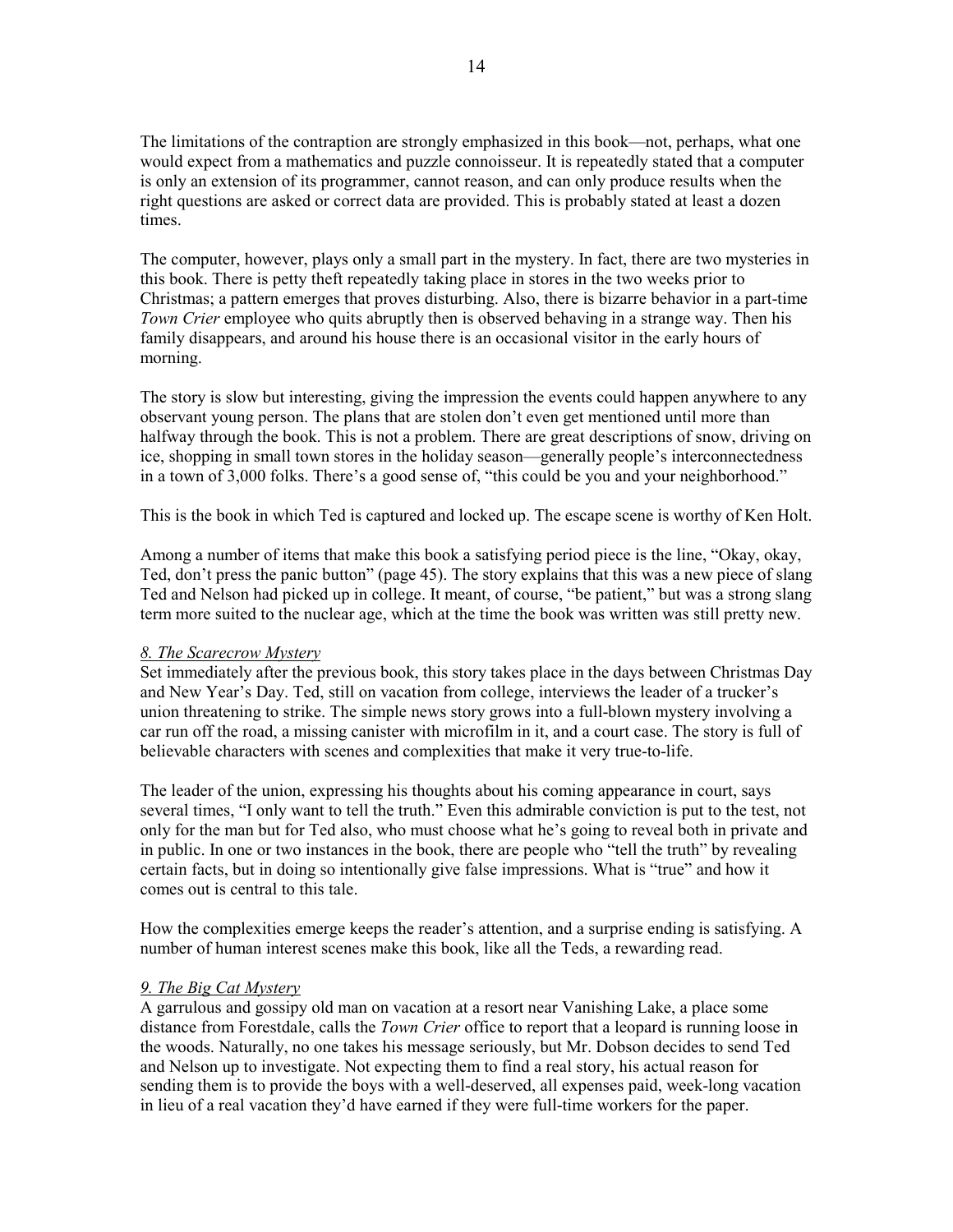The limitations of the contraption are strongly emphasized in this book—not, perhaps, what one would expect from a mathematics and puzzle connoisseur. It is repeatedly stated that a computer is only an extension of its programmer, cannot reason, and can only produce results when the right questions are asked or correct data are provided. This is probably stated at least a dozen times.

The computer, however, plays only a small part in the mystery. In fact, there are two mysteries in this book. There is petty theft repeatedly taking place in stores in the two weeks prior to Christmas; a pattern emerges that proves disturbing. Also, there is bizarre behavior in a part-time *Town Crier* employee who quits abruptly then is observed behaving in a strange way. Then his family disappears, and around his house there is an occasional visitor in the early hours of morning.

The story is slow but interesting, giving the impression the events could happen anywhere to any observant young person. The plans that are stolen don't even get mentioned until more than halfway through the book. This is not a problem. There are great descriptions of snow, driving on ice, shopping in small town stores in the holiday season—generally people's interconnectedness in a town of 3,000 folks. There's a good sense of, "this could be you and your neighborhood."

This is the book in which Ted is captured and locked up. The escape scene is worthy of Ken Holt.

Among a number of items that make this book a satisfying period piece is the line, "Okay, okay, Ted, don't press the panic button" (page 45). The story explains that this was a new piece of slang Ted and Nelson had picked up in college. It meant, of course, "be patient," but was a strong slang term more suited to the nuclear age, which at the time the book was written was still pretty new.

## *8. The Scarecrow Mystery*

Set immediately after the previous book, this story takes place in the days between Christmas Day and New Year's Day. Ted, still on vacation from college, interviews the leader of a trucker's union threatening to strike. The simple news story grows into a full-blown mystery involving a car run off the road, a missing canister with microfilm in it, and a court case. The story is full of believable characters with scenes and complexities that make it very true-to-life.

The leader of the union, expressing his thoughts about his coming appearance in court, says several times, "I only want to tell the truth." Even this admirable conviction is put to the test, not only for the man but for Ted also, who must choose what he's going to reveal both in private and in public. In one or two instances in the book, there are people who "tell the truth" by revealing certain facts, but in doing so intentionally give false impressions. What is "true" and how it comes out is central to this tale.

How the complexities emerge keeps the reader's attention, and a surprise ending is satisfying. A number of human interest scenes make this book, like all the Teds, a rewarding read.

### *9. The Big Cat Mystery*

A garrulous and gossipy old man on vacation at a resort near Vanishing Lake, a place some distance from Forestdale, calls the *Town Crier* office to report that a leopard is running loose in the woods. Naturally, no one takes his message seriously, but Mr. Dobson decides to send Ted and Nelson up to investigate. Not expecting them to find a real story, his actual reason for sending them is to provide the boys with a well-deserved, all expenses paid, week-long vacation in lieu of a real vacation they'd have earned if they were full-time workers for the paper.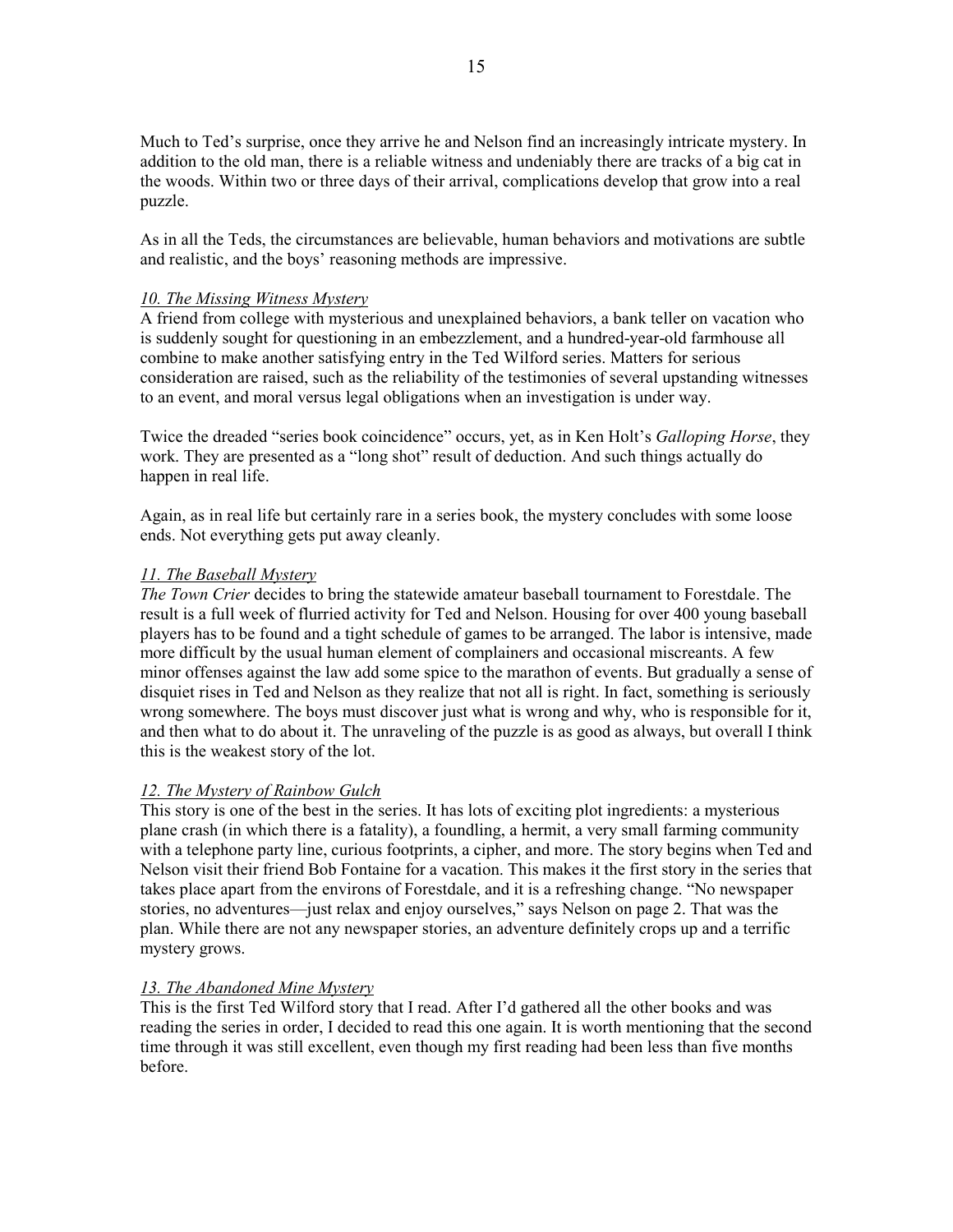Much to Ted's surprise, once they arrive he and Nelson find an increasingly intricate mystery. In addition to the old man, there is a reliable witness and undeniably there are tracks of a big cat in the woods. Within two or three days of their arrival, complications develop that grow into a real puzzle.

As in all the Teds, the circumstances are believable, human behaviors and motivations are subtle and realistic, and the boys' reasoning methods are impressive.

## *10. The Missing Witness Mystery*

A friend from college with mysterious and unexplained behaviors, a bank teller on vacation who is suddenly sought for questioning in an embezzlement, and a hundred-year-old farmhouse all combine to make another satisfying entry in the Ted Wilford series. Matters for serious consideration are raised, such as the reliability of the testimonies of several upstanding witnesses to an event, and moral versus legal obligations when an investigation is under way.

Twice the dreaded "series book coincidence" occurs, yet, as in Ken Holt's *Galloping Horse*, they work. They are presented as a "long shot" result of deduction. And such things actually do happen in real life.

Again, as in real life but certainly rare in a series book, the mystery concludes with some loose ends. Not everything gets put away cleanly.

## *11. The Baseball Mystery*

*The Town Crier* decides to bring the statewide amateur baseball tournament to Forestdale. The result is a full week of flurried activity for Ted and Nelson. Housing for over 400 young baseball players has to be found and a tight schedule of games to be arranged. The labor is intensive, made more difficult by the usual human element of complainers and occasional miscreants. A few minor offenses against the law add some spice to the marathon of events. But gradually a sense of disquiet rises in Ted and Nelson as they realize that not all is right. In fact, something is seriously wrong somewhere. The boys must discover just what is wrong and why, who is responsible for it, and then what to do about it. The unraveling of the puzzle is as good as always, but overall I think this is the weakest story of the lot.

# *12. The Mystery of Rainbow Gulch*

This story is one of the best in the series. It has lots of exciting plot ingredients: a mysterious plane crash (in which there is a fatality), a foundling, a hermit, a very small farming community with a telephone party line, curious footprints, a cipher, and more. The story begins when Ted and Nelson visit their friend Bob Fontaine for a vacation. This makes it the first story in the series that takes place apart from the environs of Forestdale, and it is a refreshing change. "No newspaper stories, no adventures—just relax and enjoy ourselves," says Nelson on page 2. That was the plan. While there are not any newspaper stories, an adventure definitely crops up and a terrific mystery grows.

### *13. The Abandoned Mine Mystery*

This is the first Ted Wilford story that I read. After I'd gathered all the other books and was reading the series in order, I decided to read this one again. It is worth mentioning that the second time through it was still excellent, even though my first reading had been less than five months before.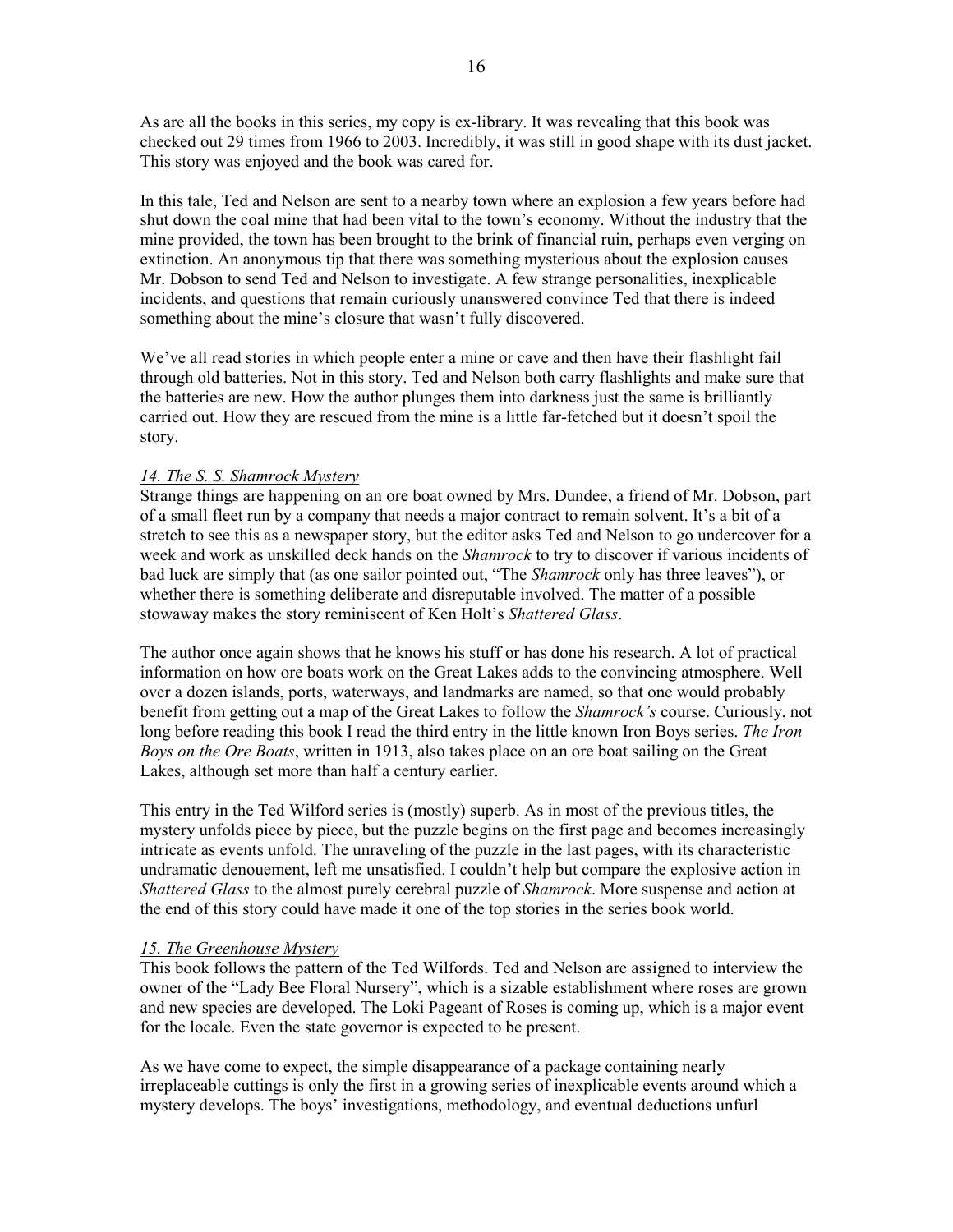As are all the books in this series, my copy is ex-library. It was revealing that this book was checked out 29 times from 1966 to 2003. Incredibly, it was still in good shape with its dust jacket. This story was enjoyed and the book was cared for.

In this tale, Ted and Nelson are sent to a nearby town where an explosion a few years before had shut down the coal mine that had been vital to the town's economy. Without the industry that the mine provided, the town has been brought to the brink of financial ruin, perhaps even verging on extinction. An anonymous tip that there was something mysterious about the explosion causes Mr. Dobson to send Ted and Nelson to investigate. A few strange personalities, inexplicable incidents, and questions that remain curiously unanswered convince Ted that there is indeed something about the mine's closure that wasn't fully discovered.

We've all read stories in which people enter a mine or cave and then have their flashlight fail through old batteries. Not in this story. Ted and Nelson both carry flashlights and make sure that the batteries are new. How the author plunges them into darkness just the same is brilliantly carried out. How they are rescued from the mine is a little far-fetched but it doesn't spoil the story.

# *14. The S. S. Shamrock Mystery*

Strange things are happening on an ore boat owned by Mrs. Dundee, a friend of Mr. Dobson, part of a small fleet run by a company that needs a major contract to remain solvent. It's a bit of a stretch to see this as a newspaper story, but the editor asks Ted and Nelson to go undercover for a week and work as unskilled deck hands on the *Shamrock* to try to discover if various incidents of bad luck are simply that (as one sailor pointed out, "The *Shamrock* only has three leaves"), or whether there is something deliberate and disreputable involved. The matter of a possible stowaway makes the story reminiscent of Ken Holt's *Shattered Glass*.

The author once again shows that he knows his stuff or has done his research. A lot of practical information on how ore boats work on the Great Lakes adds to the convincing atmosphere. Well over a dozen islands, ports, waterways, and landmarks are named, so that one would probably benefit from getting out a map of the Great Lakes to follow the *Shamrock's* course. Curiously, not long before reading this book I read the third entry in the little known Iron Boys series. *The Iron Boys on the Ore Boats*, written in 1913, also takes place on an ore boat sailing on the Great Lakes, although set more than half a century earlier.

This entry in the Ted Wilford series is (mostly) superb. As in most of the previous titles, the mystery unfolds piece by piece, but the puzzle begins on the first page and becomes increasingly intricate as events unfold. The unraveling of the puzzle in the last pages, with its characteristic undramatic denouement, left me unsatisfied. I couldn't help but compare the explosive action in *Shattered Glass* to the almost purely cerebral puzzle of *Shamrock*. More suspense and action at the end of this story could have made it one of the top stories in the series book world.

### *15. The Greenhouse Mystery*

This book follows the pattern of the Ted Wilfords. Ted and Nelson are assigned to interview the owner of the "Lady Bee Floral Nursery", which is a sizable establishment where roses are grown and new species are developed. The Loki Pageant of Roses is coming up, which is a major event for the locale. Even the state governor is expected to be present.

As we have come to expect, the simple disappearance of a package containing nearly irreplaceable cuttings is only the first in a growing series of inexplicable events around which a mystery develops. The boys' investigations, methodology, and eventual deductions unfurl